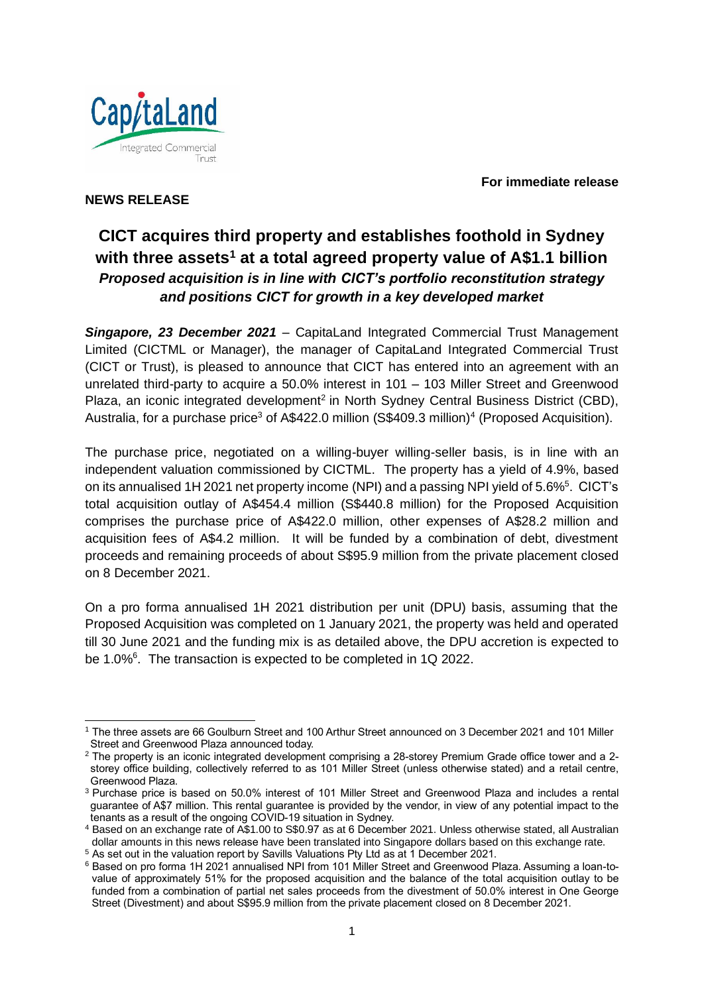Cap/taLand Integrated Commercial Trust

**For immediate release**

## **NEWS RELEASE**

# **CICT acquires third property and establishes foothold in Sydney with three assets<sup>1</sup> at a total agreed property value of A\$1.1 billion** *Proposed acquisition is in line with CICT's portfolio reconstitution strategy and positions CICT for growth in a key developed market*

*Singapore, 23 December 2021* – CapitaLand Integrated Commercial Trust Management Limited (CICTML or Manager), the manager of CapitaLand Integrated Commercial Trust (CICT or Trust), is pleased to announce that CICT has entered into an agreement with an unrelated third-party to acquire a 50.0% interest in 101 – 103 Miller Street and Greenwood Plaza, an iconic integrated development<sup>2</sup> in North Sydney Central Business District (CBD), Australia, for a purchase price<sup>3</sup> of A\$422.0 million (S\$409.3 million)<sup>4</sup> (Proposed Acquisition).

The purchase price, negotiated on a willing-buyer willing-seller basis, is in line with an independent valuation commissioned by CICTML. The property has a yield of 4.9%, based on its annualised 1H 2021 net property income (NPI) and a passing NPI yield of 5.6%<sup>5</sup>. CICT's total acquisition outlay of A\$454.4 million (S\$440.8 million) for the Proposed Acquisition comprises the purchase price of A\$422.0 million, other expenses of A\$28.2 million and acquisition fees of A\$4.2 million. It will be funded by a combination of debt, divestment proceeds and remaining proceeds of about S\$95.9 million from the private placement closed on 8 December 2021.

On a pro forma annualised 1H 2021 distribution per unit (DPU) basis, assuming that the Proposed Acquisition was completed on 1 January 2021, the property was held and operated till 30 June 2021 and the funding mix is as detailed above, the DPU accretion is expected to be 1.0%<sup>6</sup>. The transaction is expected to be completed in 1Q 2022.

<sup>1</sup> The three assets are 66 Goulburn Street and 100 Arthur Street announced on 3 December 2021 and 101 Miller Street and Greenwood Plaza announced today.

<sup>2</sup> The property is an iconic integrated development comprising a 28-storey Premium Grade office tower and a 2 storey office building, collectively referred to as 101 Miller Street (unless otherwise stated) and a retail centre, Greenwood Plaza.

<sup>3</sup> Purchase price is based on 50.0% interest of 101 Miller Street and Greenwood Plaza and includes a rental guarantee of A\$7 million. This rental guarantee is provided by the vendor, in view of any potential impact to the tenants as a result of the ongoing COVID-19 situation in Sydney.

<sup>4</sup> Based on an exchange rate of A\$1.00 to S\$0.97 as at 6 December 2021. Unless otherwise stated, all Australian dollar amounts in this news release have been translated into Singapore dollars based on this exchange rate. <sup>5</sup> As set out in the valuation report by Savills Valuations Pty Ltd as at 1 December 2021.

<sup>6</sup> Based on pro forma 1H 2021 annualised NPI from 101 Miller Street and Greenwood Plaza. Assuming a loan-tovalue of approximately 51% for the proposed acquisition and the balance of the total acquisition outlay to be funded from a combination of partial net sales proceeds from the divestment of 50.0% interest in One George Street (Divestment) and about S\$95.9 million from the private placement closed on 8 December 2021.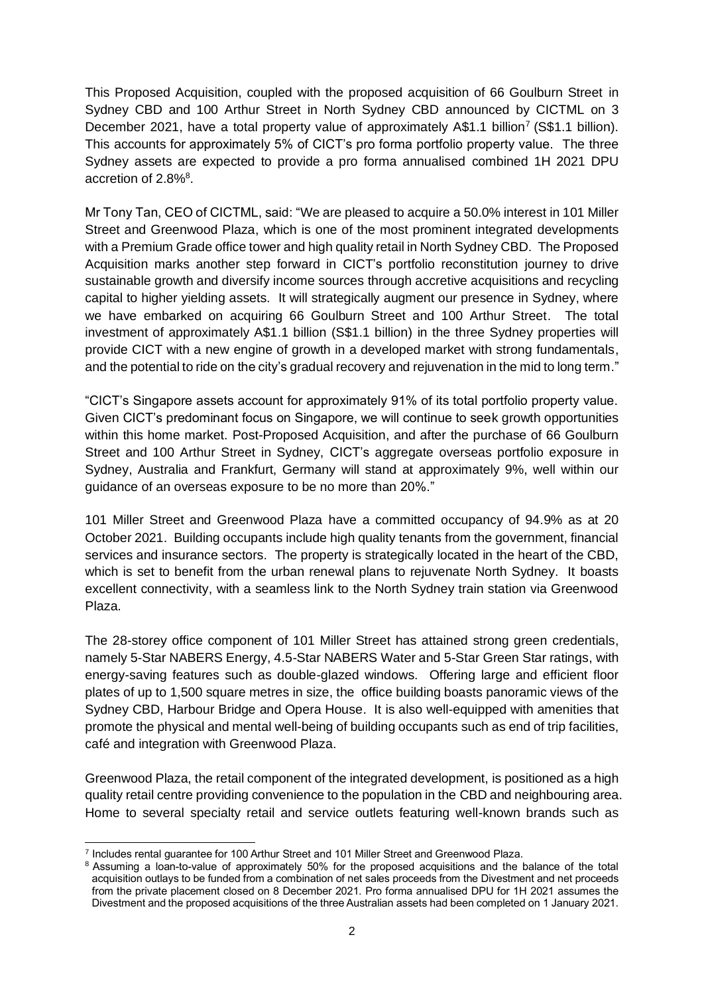This Proposed Acquisition, coupled with the proposed acquisition of 66 Goulburn Street in Sydney CBD and 100 Arthur Street in North Sydney CBD announced by CICTML on 3 December 2021, have a total property value of approximately A\$1.1 billion<sup>7</sup> (S\$1.1 billion). This accounts for approximately 5% of CICT's pro forma portfolio property value. The three Sydney assets are expected to provide a pro forma annualised combined 1H 2021 DPU accretion of 2.8%<sup>8</sup>.

Mr Tony Tan, CEO of CICTML, said: "We are pleased to acquire a 50.0% interest in 101 Miller Street and Greenwood Plaza, which is one of the most prominent integrated developments with a Premium Grade office tower and high quality retail in North Sydney CBD. The Proposed Acquisition marks another step forward in CICT's portfolio reconstitution journey to drive sustainable growth and diversify income sources through accretive acquisitions and recycling capital to higher yielding assets. It will strategically augment our presence in Sydney, where we have embarked on acquiring 66 Goulburn Street and 100 Arthur Street. The total investment of approximately A\$1.1 billion (S\$1.1 billion) in the three Sydney properties will provide CICT with a new engine of growth in a developed market with strong fundamentals, and the potential to ride on the city's gradual recovery and rejuvenation in the mid to long term."

"CICT's Singapore assets account for approximately 91% of its total portfolio property value. Given CICT's predominant focus on Singapore, we will continue to seek growth opportunities within this home market. Post-Proposed Acquisition, and after the purchase of 66 Goulburn Street and 100 Arthur Street in Sydney, CICT's aggregate overseas portfolio exposure in Sydney, Australia and Frankfurt, Germany will stand at approximately 9%, well within our guidance of an overseas exposure to be no more than 20%."

101 Miller Street and Greenwood Plaza have a committed occupancy of 94.9% as at 20 October 2021. Building occupants include high quality tenants from the government, financial services and insurance sectors. The property is strategically located in the heart of the CBD, which is set to benefit from the urban renewal plans to rejuvenate North Sydney. It boasts excellent connectivity, with a seamless link to the North Sydney train station via Greenwood Plaza.

The 28-storey office component of 101 Miller Street has attained strong green credentials, namely 5-Star NABERS Energy, 4.5-Star NABERS Water and 5-Star Green Star ratings, with energy-saving features such as double-glazed windows. Offering large and efficient floor plates of up to 1,500 square metres in size, the office building boasts panoramic views of the Sydney CBD, Harbour Bridge and Opera House. It is also well-equipped with amenities that promote the physical and mental well-being of building occupants such as end of trip facilities, café and integration with Greenwood Plaza.

Greenwood Plaza, the retail component of the integrated development, is positioned as a high quality retail centre providing convenience to the population in the CBD and neighbouring area. Home to several specialty retail and service outlets featuring well-known brands such as

<sup>7</sup> Includes rental guarantee for 100 Arthur Street and 101 Miller Street and Greenwood Plaza.

<sup>&</sup>lt;sup>8</sup> Assuming a loan-to-value of approximately 50% for the proposed acquisitions and the balance of the total acquisition outlays to be funded from a combination of net sales proceeds from the Divestment and net proceeds from the private placement closed on 8 December 2021. Pro forma annualised DPU for 1H 2021 assumes the Divestment and the proposed acquisitions of the three Australian assets had been completed on 1 January 2021.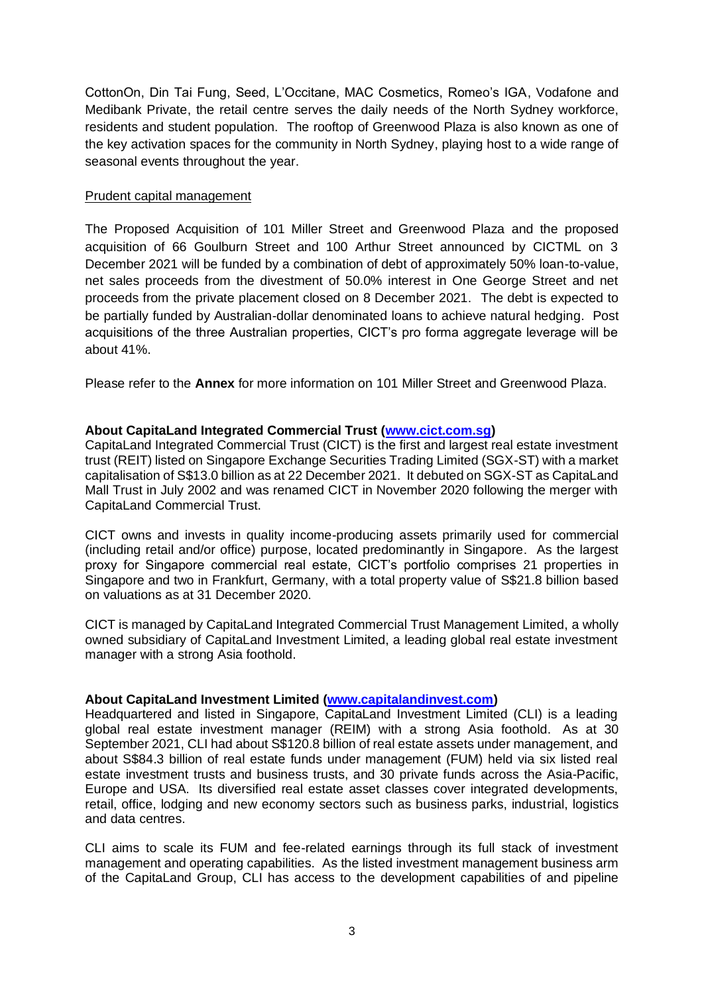CottonOn, Din Tai Fung, Seed, L'Occitane, MAC Cosmetics, Romeo's IGA, Vodafone and Medibank Private, the retail centre serves the daily needs of the North Sydney workforce, residents and student population. The rooftop of Greenwood Plaza is also known as one of the key activation spaces for the community in North Sydney, playing host to a wide range of seasonal events throughout the year.

### Prudent capital management

The Proposed Acquisition of 101 Miller Street and Greenwood Plaza and the proposed acquisition of 66 Goulburn Street and 100 Arthur Street announced by CICTML on 3 December 2021 will be funded by a combination of debt of approximately 50% loan-to-value, net sales proceeds from the divestment of 50.0% interest in One George Street and net proceeds from the private placement closed on 8 December 2021. The debt is expected to be partially funded by Australian-dollar denominated loans to achieve natural hedging. Post acquisitions of the three Australian properties, CICT's pro forma aggregate leverage will be about 41%.

Please refer to the **Annex** for more information on 101 Miller Street and Greenwood Plaza.

#### **About CapitaLand Integrated Commercial Trust [\(www.cict.com.sg\)](file:///D:/Users/tonytan/AppData/Local/Microsoft/Windows/INetCache/Content.Outlook/W2TWQHKM/www.cict.com.sg)**

CapitaLand Integrated Commercial Trust (CICT) is the first and largest real estate investment trust (REIT) listed on Singapore Exchange Securities Trading Limited (SGX-ST) with a market capitalisation of S\$13.0 billion as at 22 December 2021. It debuted on SGX-ST as CapitaLand Mall Trust in July 2002 and was renamed CICT in November 2020 following the merger with CapitaLand Commercial Trust.

CICT owns and invests in quality income-producing assets primarily used for commercial (including retail and/or office) purpose, located predominantly in Singapore. As the largest proxy for Singapore commercial real estate, CICT's portfolio comprises 21 properties in Singapore and two in Frankfurt, Germany, with a total property value of S\$21.8 billion based on valuations as at 31 December 2020.

CICT is managed by CapitaLand Integrated Commercial Trust Management Limited, a wholly owned subsidiary of CapitaLand Investment Limited, a leading global real estate investment manager with a strong Asia foothold.

#### **About CapitaLand Investment Limited [\(www.capitalandinvest.com\)](http://www.capitalandinvest.com/#_blank)**

Headquartered and listed in Singapore, CapitaLand Investment Limited (CLI) is a leading global real estate investment manager (REIM) with a strong Asia foothold. As at 30 September 2021, CLI had about S\$120.8 billion of real estate assets under management, and about S\$84.3 billion of real estate funds under management (FUM) held via six listed real estate investment trusts and business trusts, and 30 private funds across the Asia-Pacific, Europe and USA. Its diversified real estate asset classes cover integrated developments, retail, office, lodging and new economy sectors such as business parks, industrial, logistics and data centres.

CLI aims to scale its FUM and fee-related earnings through its full stack of investment management and operating capabilities. As the listed investment management business arm of the CapitaLand Group, CLI has access to the development capabilities of and pipeline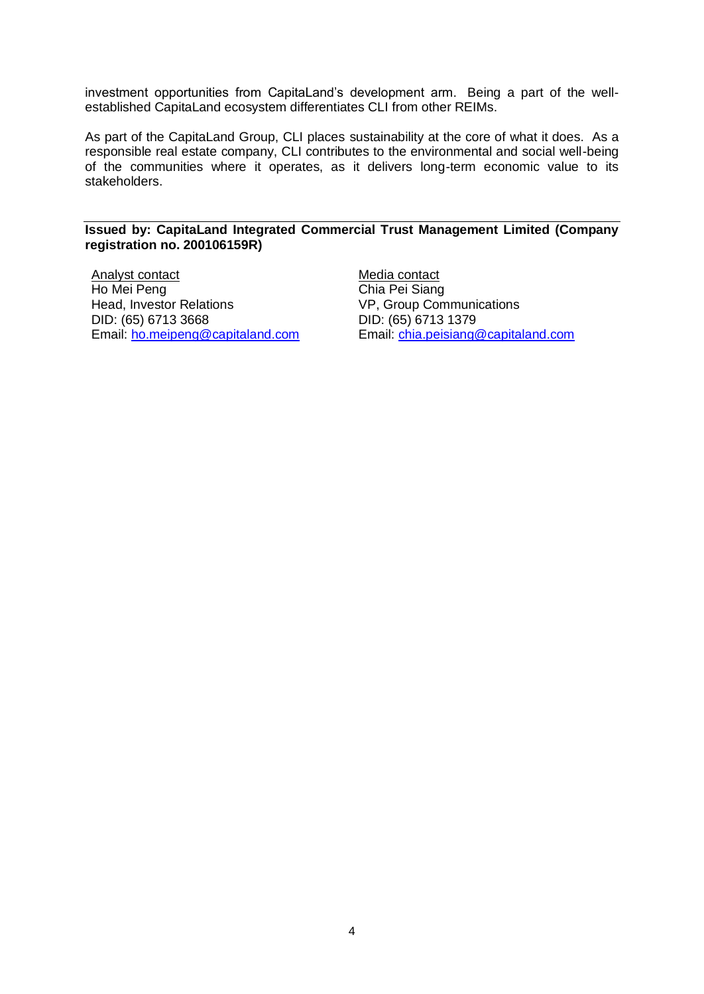investment opportunities from CapitaLand's development arm. Being a part of the wellestablished CapitaLand ecosystem differentiates CLI from other REIMs.

As part of the CapitaLand Group, CLI places sustainability at the core of what it does. As a responsible real estate company, CLI contributes to the environmental and social well-being of the communities where it operates, as it delivers long-term economic value to its stakeholders.

#### **Issued by: CapitaLand Integrated Commercial Trust Management Limited (Company registration no. 200106159R)**

Analyst contact Ho Mei Peng Head, Investor Relations DID: (65) 6713 3668 Email: [ho.meipeng@capitaland.com](mailto:ho.meipeng@capitaland.com) Media contact Chia Pei Siang VP, Group Communications DID: (65) 6713 1379 Email: [chia.peisiang@capitaland.com](mailto:chia.peisiang@capitaland.com)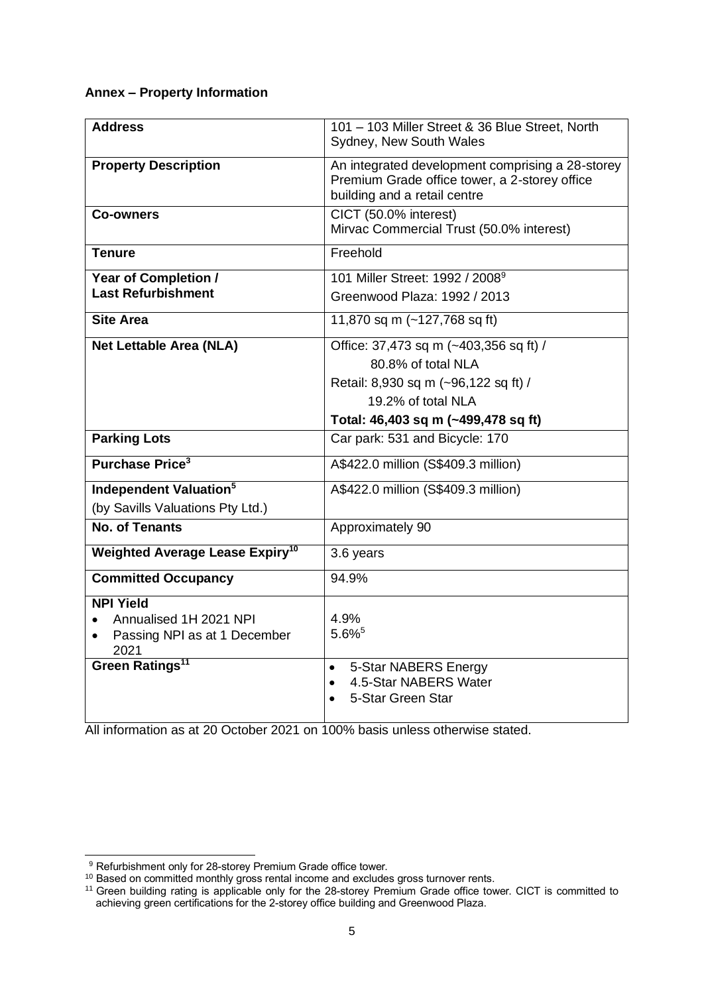## **Annex – Property Information**

| <b>Address</b>                                                                                                    | 101 - 103 Miller Street & 36 Blue Street, North<br>Sydney, New South Wales                                                                                        |
|-------------------------------------------------------------------------------------------------------------------|-------------------------------------------------------------------------------------------------------------------------------------------------------------------|
| <b>Property Description</b>                                                                                       | An integrated development comprising a 28-storey<br>Premium Grade office tower, a 2-storey office<br>building and a retail centre                                 |
| <b>Co-owners</b>                                                                                                  | CICT (50.0% interest)<br>Mirvac Commercial Trust (50.0% interest)                                                                                                 |
| <b>Tenure</b>                                                                                                     | Freehold                                                                                                                                                          |
| Year of Completion /<br><b>Last Refurbishment</b>                                                                 | 101 Miller Street: 1992 / 2008 <sup>9</sup><br>Greenwood Plaza: 1992 / 2013                                                                                       |
| <b>Site Area</b>                                                                                                  | 11,870 sq m (~127,768 sq ft)                                                                                                                                      |
| <b>Net Lettable Area (NLA)</b>                                                                                    | Office: 37,473 sq m (~403,356 sq ft) /<br>80.8% of total NLA<br>Retail: 8,930 sq m (~96,122 sq ft) /<br>19.2% of total NLA<br>Total: 46,403 sq m (~499,478 sq ft) |
| <b>Parking Lots</b>                                                                                               | Car park: 531 and Bicycle: 170                                                                                                                                    |
| <b>Purchase Price<sup>3</sup></b>                                                                                 | A\$422.0 million (S\$409.3 million)                                                                                                                               |
| Independent Valuation <sup>5</sup><br>(by Savills Valuations Pty Ltd.)                                            | A\$422.0 million (S\$409.3 million)                                                                                                                               |
| No. of Tenants                                                                                                    | Approximately 90                                                                                                                                                  |
| <b>Weighted Average Lease Expiry<sup>10</sup></b>                                                                 | 3.6 years                                                                                                                                                         |
| <b>Committed Occupancy</b>                                                                                        | 94.9%                                                                                                                                                             |
| <b>NPI Yield</b><br>Annualised 1H 2021 NPI<br>Passing NPI as at 1 December<br>2021<br>Green Ratings <sup>11</sup> | 4.9%<br>$5.6\%$ <sup>5</sup><br>5-Star NABERS Energy<br>$\bullet$<br>4.5-Star NABERS Water<br>$\bullet$<br>5-Star Green Star                                      |

All information as at 20 October 2021 on 100% basis unless otherwise stated.

<sup>&</sup>lt;sup>9</sup> Refurbishment only for 28-storey Premium Grade office tower.

 $10$  Based on committed monthly gross rental income and excludes gross turnover rents.

<sup>&</sup>lt;sup>11</sup> Green building rating is applicable only for the 28-storey Premium Grade office tower. CICT is committed to achieving green certifications for the 2-storey office building and Greenwood Plaza.